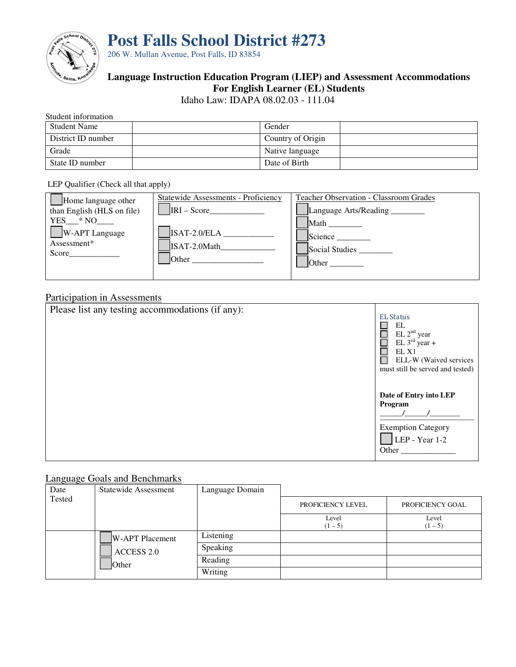

**Post Falls School District #273**

206 W. Mullan Avenue, Post Falls, ID 83854

# **Language Instruction Education Program (LIEP) and Assessment Accommodations For English Learner (EL) Students**

Idaho Law: IDAPA 08.02.03 - 111.04

# Student information

| <b>Student Name</b> | Gender            |
|---------------------|-------------------|
| District ID number  | Country of Origin |
| Grade               | Native language   |
| State ID number     | Date of Birth     |

#### LEP Qualifier (Check all that apply)

| Home language other<br>than English (HLS on file) | <b>Statewide Assessments - Proficiency</b><br>$IRI - Score$ | <b>Teacher Observation - Classroom Grades</b><br>Language Arts/Reading ________ |
|---------------------------------------------------|-------------------------------------------------------------|---------------------------------------------------------------------------------|
| $YES$ $*NO$<br>$W$ -APT Language                  | ISAT-2.0/ELA                                                | Math<br><b>Science</b>                                                          |
| Assessment*<br>Score                              | ISAT-2.0Math<br><b>Other</b>                                | Social Studies                                                                  |
|                                                   |                                                             | <b>Other</b>                                                                    |

## Participation in Assessments

| Please list any testing accommodations (if any): | <b>EL Status</b><br>EL<br>$EL$ $2nd$ year<br>EL $3^{rd}$ year +<br>EL X1<br>ELL-W (Waived services<br>must still be served and tested) |
|--------------------------------------------------|----------------------------------------------------------------------------------------------------------------------------------------|
|                                                  | Date of Entry into LEP<br>Program<br><b>Exemption Category</b><br>$LEP - Year 1-2$<br>Other                                            |

## Language Goals and Benchmarks

| Date         | <b>Statewide Assessment</b> | Language Domain |                    |                  |
|--------------|-----------------------------|-----------------|--------------------|------------------|
| Tested       |                             |                 | PROFICIENCY LEVEL  | PROFICIENCY GOAL |
|              |                             |                 | Level<br>$(1 - 5)$ | Level<br>$(1-5)$ |
| <b>Other</b> | <b>W-APT Placement</b>      | Listening       |                    |                  |
|              | <b>ACCESS 2.0</b>           | Speaking        |                    |                  |
|              |                             | Reading         |                    |                  |
|              |                             | Writing         |                    |                  |